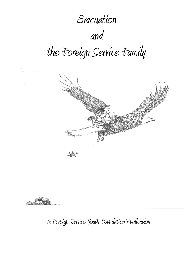# Evacuation

and

the Foreign Service Family



A Foreign Service Youth Foundation Publication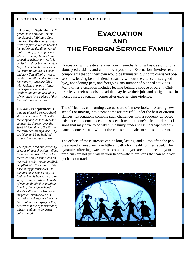**5:07 p.m., 18 September;** *11th grade, International Community School of Abidjan, Cote d'Ivoire: The African Sun saturates my purple-walled room; I just adore the dazzling warmth that is filling up my life. From where I sit in my kente clothdraped armchair, my world is perfect. Dad's job with the State Department has brought me so far, from Baltimore to Yemen, and now Cote d'Ivoire - not to mention countless adventures in between. My days are filled with fusions of exotic friends and experiences, and with an exhilarating junior year ahead of me, there isn't a piece of this life that I would change.* 

**4:12 a.m., 19 September***: Is that my alarm? I swear school starts way too early. No - it's the telephone, echoed by what sounds like thunder over the West African dawn. But it's not the rainy season anymore. Why are Mom and Dad huddled around the Embassy radio?* 

*Their faces, tired and drawn by creases of apprehension, tell me it's more than rain. Then, I hear the voice of my friend's dad on the walkie-talkie radio, muffled, yet filled with the same anxiety I see in my parents' eyes. He dictates the events as they unfold beside his home: an explosion, rattling gunshots, hoards of men in bloodied camouflage littering the neighborhood streets with shells. I lean onto my father, but not even his warmth can shelter me from the fear that my oh-so-perfect life, as well as those of thousands of others, is about to be drastically altered.*

## **Evacuation and the Foreign Service Family**

Evacuation will drastically alter your life—challenging basic assumptions about predictability and control over your life. Evacuations involve several components that on their own would be traumatic: giving up cherished possessions, leaving behind friends (usually without the chance to say goodbye), abandoning pets, and foregoing any number of planned activities. Many times evacuation includes leaving behind a spouse or parent. Children leave their schools and adults may leave their jobs and obligations. In worst cases, evacuation comes after experiencing violence.

The difficulties confronting evacuees are often overlooked. Starting new schools or moving into a new home are stressful under the best of circumstances. Evacuations combine such challenges with a suddenly uprooted existence that demands countless decisions to put one's life in order, decisions that may have to be taken in a hurry, under stress, perhaps with financial concerns and without the counsel of an absent spouse or parent.

The effects of these stresses can be long-lasting, and all too often the people around an evacuee have little empathy for the difficulties faced. The dynamics affecting evacuees are common— you are not alone and your problems are not just "all in your head"—there are steps that can help you get back on track.

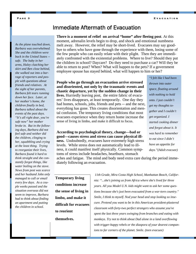### Immediate Aftermath of Evacuation

**There is a moment of relief on arrival "home" after fleeing post**. At this moment, adrenalin levels begin to drop, and shock and emotional numbness melt away. However, the relief may be short-lived. Evacuees may say goodbye to others who have gone through the experience with them, losing some of the few people who can easily relate with their plight. Then they are immediately confronted with the existential problems. Where to live? Should they put the children in school? Daycare? Do they need to purchase a car? Will they be able to return to post? When? What will happen to the pets? If a government employee spouse has stayed behind, what will happen to him or her?

**People who go through an evacuation arrive stressed and disoriented, not only by the traumatic events and chaotic departure, yet by the sudden change in their lives.** Hurriedly leaving post, the entire fabric of evacuees' lives disappears, at least temporarily. One day they had homes, schools, jobs, friends and pets -- and the next, everything has gone. This creates disorientation and mental confusion. The temporary living conditions that most evacuees experience when they return home increase the sense of living in limbo, and make it difficult to focus.

#### **According to psychological theory, change—bad or good—causes stress and stress can cause physical illness.** Undoubtedly, evacuees have extremely high stress levels. While stress does not automatically lead to illness, it could manifest itself physically. Common symptoms of stress include headaches, heartburn, stomach

*"I felt like I had been thrown into outer space, floating around with nothing to hold onto. I just couldn't get my thoughts together and I couldn't get organized. I started cooking dinner and forgot about it. It was hard to remember to eat since I didn't have an appetite for days."(Adult evacuee)* 

aches and fatigue. The mind and body need extra care during the period immediately following an evacuation.

**Temporary living conditions increase the sense of living in limbo, and make it difficult for evacuees to reorient** 

**themselves.** 

*11th Grade, Mira Costa High School, Manhattan Beach, California: "...she's joining us from Africa where she's lived for three years. All you Model U.N. kids might want to ask her some questions because she's just been evacuated from a war-torn country." Smile, I think to myself. Nod your head and stop looking so insecure. Pretend you want to be in this American president-plastered classroom with forty-two perfect strangers who assume you've spent the last three years swinging from branches and eating with monkeys. Try not to think about Dad alone in a land overflowing with trigger-happy rebels or the diaspora of your dearest companions to far corners of the planet. Smile. (teen evacuee)*

#### **Page 3**

*As the plane touched down, Barbara was overwhelmed. She and the children were back in the United States - safe. The baby in her arms, Haley clutching her skirt and Ben close behind, she walked out into a barrage of reporters and people with questions about friends and relatives. At the sight of her parents, Barbara felt tears running down her face. Later, at her mother's home, the children finally in bed, Barbara talked about the events of the past days. "It's all right dear, you're safe now" her mother broke in. But in the following days, Barbara did not feel safe and neither did the children, clinging to her, squabbling and crying at the least thing. Trying to reorganize their lives, Barbara found it hard to think straight and she constantly forgot things, like water boiling on the stove. News from post was scarce and her husband John only managed to call or email every few days. As a couple weeks passed and the situation overseas did not seem to improve, Barbara had to think about finding an apartment and putting the children in school.*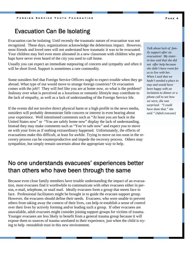### Evacuation Can Be Isolating

Evacuation can be isolating. Until recently the traumatic nature of evacuation was not recognized. These days, organizations acknowledge the deleterious impact. However, most friends and loved ones will not understand how traumatic it was to be evacuated. Your children may feel even more alienated in a new classroom with children who perhaps have never even heard of the city you used to call home.

Usually you can expect an immediate outpouring of concern and sympathy and often it will be short lived. Support is sometimes a rare commodity.

Some outsiders feel that Foreign Service Officers ought to expect trouble when they go abroad. What type of nut would move to strange foreign countries? Or evacuation comes with the job!! They will feel like you are at home now, so what is the problem? Jealousy over what is perceived as a luxurious or romantic lifestyle may contribute to the lack of empathy, as well as a lack of understanding of the Foreign Service life.

If the events did not involve direct physical harm or a high profile in the news media, outsiders will probably demonstrate little concern or interest in even hearing about your experience. Well intentioned comments such as "At least you are back in the United States now" or "You are safely home now" display the lack of understanding. Instead they may make comments such as "You're safe now" and expect you to move on with your lives as if nothing extraordinary happened. Unfortunately, the effects of evacuations make this difficult, at least for awhile. Trying to move on too soon in the recovery process can be counterproductive and impede the recovery process. Others may sympathize, but simply remain uncertain about the appropriate way to help.

### No one understands evacuees' experiences better than others who have been through the same

Because even close family members have trouble understanding the impact of an evacuation, most evacuees find it worthwhile to communicate with other evacuees either in person, e-mail, telephone, or snail mail. Ideally evacuees form a group that meets face to face. Professional facilitators might be brought in to guide the evacuee support group. However, the evacuees should define their needs. Evacuees, who were unable to prevent others from taking away the context of their lives, can help re-establish a sense of control over their lives by actively forming and/or leading such a group. If other evacuees are unavailable, adult evacuees might consider joining support groups for victims of trauma. Younger evacuees are less likely to benefit from a general trauma group because it will expose them to sources of trauma unrelated to their experience, just when the child is trying to help reestablish trust in this new environment.

*Talk about lack of family support after an evacuation! My sisterin-law said that she did not offer help because she didn't have room for us to live with her. When I said that we hadn't needed a place to stay and would have been happy with an invitation to dinner or a phone call to see how we were, she was surprised. "I could have done that," she said." (Adult evacuee)*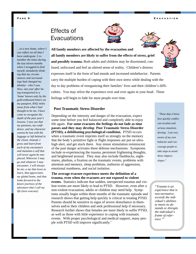**Evacuation** 

### Effects of **Evacuations**





**All family members are affected by the evacuation and all family members are likely to suffer from the effects of stress, grief and possibly trauma.** Both adults and children may be disoriented, confused, unfocused and feel an altered sense of reality. Children's distress expresses itself in the form of bad moods and increased misbehavior. Parents carry the multiple burden of coping with their own stress while dealing with the day to day problems of reorganizing their families' lives and their children's difficulties. You may relive the experience over and over again in your head. These feelings will begin to fade for most people over time. *…in a new home, where I member the times during myself, mistakenly think-'home' known only by the gold-embossed letters on* 

#### **Post Traumatic Stress Disorder**

Depending on the intensity and danger of the evacuation, expect some time before you feel balanced and completely able to enjoy life again. **For some evacuees the feelings do not fade as time passes and they may develop Post Traumatic Stress Disorder (PTSD), a debilitating psychological condition.** PTSD occurs when a traumatic event imprints itself so strongly on the memory that the body's primitive fight or flight responses are put on ultrahigh alert, and get stuck there. Any minor stimulation reminiscent of the past danger activates these defense mechanisms. Symptoms include re-experiencing the trauma, persistent frightening thoughts, and heightened arousal. They may also include flashbacks, nightmares, phobias, a fixation on the traumatic events, problems with attention and memory, sleep problems, outbursts of aggression, emotional numbness, and social isolation.

#### **The average evacuee experience meets the definition of a trauma, even when the evacuees are not exposed to violent**

**events.** Statistics indicate that sudden, unexpected traumas and violent events are more likely to lead to PTSD. However, even after a non-violent evacuation, adults or children may need help. Symptoms usually begin within three months of the traumatic episode and research shows that getting help quickly is critical in treating PTSD. Parents should be sensitive to signs of severe disturbance in themselves and/or their children and seek professional help if necessary. Research further shows that females are more likely to suffer PTSD, as well as those with little experience in coping with traumatic events. With proper psychological and medical support, many people with PTSD will improve significantly.<sup>1</sup>

*"These days I know how quickly conflict can escalate and serious situations develop. I am very aware of my own behavior and I encourage people to take steps to avoid those slippery slopes."* 

*"Trauma is an experience that is non-normative, exceeds the individual's abilities to meets its demands or disrupts the individual's frame of reference."<sup>2</sup>*

*can reflect on all that I have undergone. I re-*

*the last eleven months when I struggled to find* 

*ing that my circumstances and surroundings had changed my identity - who I was. Now, one year after being transported to a* 

*my passport, 8562 miles away from what I had thought to be me, I have come to recognize the depth of the past year's lessons. I now see that my passions, my confidence, and my character cannot be lost with the luggage or left behind in the closet. Instead, I grow and learn from each of my encounters and maintain a self that will never again be misplaced. Wherever I may go and whatever I may encounter, I will always be me; a me that loves to learn, that appreciates my global home, and that looks forward to the future journeys of the adventure that I call my life (teen evacuee)*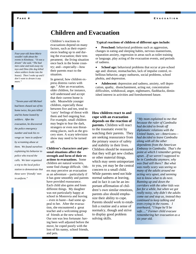### **Children and Evacuation**

*Four-year-old Anne-Marie wouldn't talk about the events in Kinshasa. "It was a dream" she said, "The bad men came and took away my toys and Dino (the dog killed when soldiers broke into the house). Then I woke up and I don't want to dream it any more."* 

*"Seven-year-old Michael had been chased out of his home twice, his pets killed and his home looted by soldiers. After the evacuation, he discovered the police emergency number and took his revenge on 'men in uniform' by screaming abuse at them. We found ourselves explaining his behavior to police who traced the calls. We later organized a trip to the local police station to demonstrate that these were 'friendly' men in uniform."* 

evacuations depend on many factors, such as their experiences leading up to and during the evacuation; their temperament; the living situation once back in the home country; and—especially—how their parents react to the situation.

Children's reactions to

In general, how children express distress varies with age.<sup>3</sup> After an evacuation, older children, for instance, will understand and accept that their current home is safe. Meanwhile younger children, especially those between five and ten, tend to 'carry' feelings of threat with them and feel ongoing fear. For example, small children may begin to fear the dark, strangers or even non threatening places, such as the grocery store. A scary television show may need to be turned off.

**Children's characters and personal situations affect the strength and form of their reactions to evacuations.** Some children are natural worriers, some find change difficult. Others may perceive an evacuation as an adventure – particularly if it has gone smoothly and parents have provided reassurance. Each child also gains and loses different things. My daughter was not particularly happy at school in Monrovia and leaving – even in haste—had some appeal to her. After the evacuation, she encountered a great teacher and a welcoming group of friends at the new school. Our son was less fortunate: having been well adjusted before the move, he coped poorly with the loss of his nanny, school friends, and pets.

#### **Typical reactions of children of different ages include:**

**Preschool:** behavioral problems such as aggression, changes in eating and sleeping habits, nervous mannerisms, separation anxiety, regression in areas such as toilet training or language, play acting of the evacuation events, and periods of sadness.

School age: behavioral problems that occur at pre-school age and: distrust, stomachaches, lack of impulse control, rebellious behavior, angry outbursts, social problems, school phobia, and depression.

• **Adolescent:** depression and sadness, anxiety, self deprecation, apathy, disenchantment, acting out, concentration difficulties, withdrawal, anger, nightmares, flashbacks, diminished interest in activities and foreshortened future.

#### **How children react to and cope with an evacuation depends on the reaction of parents.** Children will react to the traumatic event by watching their parents. They are seeking reassurance from the primary source of safety and stability in their lives. Children should be reassured that they will get new clothes or other material things, which may seem unimportant to you, yet may be the central concern to a small child. While parents need not hide normal sadness at leaving, and in fact it can be an important affirmation of children's own similar emotions, parents also should emphasize their ability to cope. Parents should work to establish a routine and a sense of normalcy, though and strive to display good problem solving skills.

*"My mom explained to me that because the ruler of Cambodia had decided to break off diplomatic relations with the United States, we—Americans had decided to leave Cambodia along with all the other dependents from the American Embassy in Cambodia. That's the point at which I remember getting upset…If we weren't supposed to be in Cambodia anymore, why was Dad still there? But what was really scary was seeing so many of the adults around me acting very upset, and seeming not to know what to do next. Running up and down the corridors with the other kids was fun for a while, but when we got really noisy, why didn't the adults come out and stop us, instead they continued to keep talking and even crying in the rooms. I overheard, "I hope he'll be safe…." Former child evacuee remembering her evacuation as a six year old.*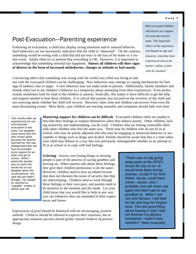Post-Evacuation—Parenting experience

Following an evacuation, a child may display strong emotions and/or unusual behavior. Such behaviors are not necessarily indicative that the child is "abnormal". On the contrary, something would be wrong with a child that did not react to the loss of his home or a violent event. Adults often try to pretend that everything is OK. However, it is important to acknowledge that something stressful has happened. **Almost all children will show signs of distress in the form of increased misbehavior, changes in attitude or bad moods.**

Most evacuated children will recover in a supportive and safe environment. The long-term effects of the experience will depend on age and character, what they have experienced and on the family's ability to deal with the situation.<sup>5</sup>

Convincing others that something was wrong with the world your child was living in and not with the evacuated children can be challenging. New behaviors may emerge as coping mechanisms for feelings of sadness, fear or anger. A new behavior may not make sense to parents. Additionally, family members and friends often fail to see children's behavior as a temporary phase stemming from their experiences. Even professionals sometimes look for fault in the children or parents. Ironically, this makes it more difficult to get the help and support needed to heal these children. It is critical that parents stay focused on the recovery of the child and not worrying about whether the child will recover. Recovery takes time and children can recover from even the most devastating events. Most likely, your children are reacting normally and symptoms should fade over time.

*Two months after we experienced our second traumatic evacuation in two years, our daughter came home from her new school upset because her teacher had told her she was disappointed that she had not provided more support for another new girl at school. When I asked the teacher why on earth she would rely on our daughter given the circumstances, she said she just hadn't thought. Our daughter seemed so "capable" mother of twelve year old* 

**Mustering support for children can be difficult.** Evacuated children often are unable to describe their feelings or explain themselves when they behave poorly. Other children, lacking sensitivity and understanding, can be cruel. Children who are feeling vulnerable often seek other children who feel the same way. These may be children who do not fit in at school, who may be poorly adjusted and who may be engaging in antisocial behavior or susceptible to things such as drugs and alcohol. Parents should be aware that this is a time when your child may behave in a way that was previously unimaginable whether as an attempt to fit in at school or to cope with bad feelings.

**Grieving**: Sorrow over losing things or missing people is part of the process of saying goodbye and moving on. When parents talk about these feelings, they give their children permission to do the same. However, children need to hear an edited version that does not threaten the sense of security that they are redeveloping. Children need to work through these feelings at their own pace, and parents need to be sensitive to the moment and the mode. Let your child know that you would like to help in any way you can whenever they are reminded of their experiences and losses.

*Expressions of grief should be balanced with an encouraging, positive outlook. Children should be allowed to express their emotions, but at appropriate moments parents should gently remind children of positive things.* 

*"There was no big going away party at the DCM's house for any of us—It would have been boring anyway, except if my best friend, Jessie, could have come—Jessie, who I probably now will never see again and didn't get to say goodbye to. When I am rich and famous, I will look for her and beg her forgiveness. The one good thing about leaving is that I had not finished my physics homework—hadn't even started it "* (teen evacuee)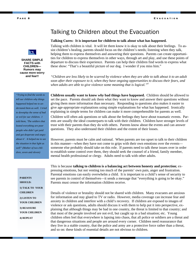

**SHARE SIMPLE FACTS with CHILDREN— Rumors may cause more worry and fear!!** 

*"Trying to find the words to tell our children why things happened helped me to understand them as well. I tried to downplay the sense of bad or evil for our children. I told them, 'The soldiers that looted everything are poor people who didn't get paid and got desperate and angry about it'. It helped me to see the situation in that light as well" (Mother of two children, seven and eleven)* 

> **PARENTS SHOULD: 1) TALK TO YOUR CHILDREN 2) LISTEN TO YOUR CHILDREN 3) REASSURE YOUR CHILDREN 4) REPEAT**

### Talking to Children about the Evacuation

#### **Talking Cures: It is important for children to talk about what has happened.**

Talking with children is vital. It will let them know it is okay to talk about their feelings. To assist children's healing, parents should focus on the children's needs; listening when they talk, helping them to express themselves and answering their questions. Parents can create opportunities for children to express themselves in other ways, through art and play, and use these points of departure to discuss their experience. Parents can help their children find words to express what these show: "That's a beautiful picture of our dog. I wonder if you miss him."

*"Children are less likely to be scarred by violence when they are able to talk about it to an adult soon after their exposure to it, when they have ongoing opportunities to discuss their fears, and when adults are able to give violence some meaning that is logical."<sup>4</sup>*

**Children usually want to know** *why* **bad things have happened.** Children should be allowed to set the pace. Parents should ask them what they want to know and answer their questions without giving them more information than necessary. Responding to questions also makes it easier to give age-appropriate explanations using simple explanations for what has happened. Ironically explaining in simple terms for children can make it more comprehensible for parents as well.

Children will often ask questions or talk about the feelings they have about traumatic events. Parents are usually the ideal counterparts to talk with their children. Children have stronger levels of trust with their parents than they do with others. Parents know about the events and can answer questions. They also understand their children and the extent of their losses.

However, parents must be calm and rational. When parents are too upset to talk to their children in this manner—when they have not come to grips with their own emotions over the events someone else probably should take on this role. If parents need to talk these issues over in order to establish some control over them, they should seek the counsel of a friend, family member, mental health professional or clergy. Adults need to talk with other adults.

This is because **talking to children is a balancing act between honesty and protection**; expressing emotions, but not venting too much of the parents' own pain, anger and frustration. Parental emotions can easily overwhelm a child. It is important to a child's sense of security to see parents in control of themselves—it sends a message that "everything is going to be okay." Parents must censor the information children receive.

Details of violence or brutality should not be shared with children. Many evacuees are anxious for information and stay glued to TV or radio. However, media coverage can increase fear and anxiety in children and interfere with a child's recovery. If children are exposed to images of violence or ask questions, adults should discuss it with them to help put it into perspective, explaining that although things may be bad in one country, the threat is limited to that country; and that most of the people involved are not evil, but caught up in a bad situation; etc. Young children often feel that everywhere is lapsing into chaos, that all police or soldiers are a threat and that dangerous situations and people are around every corner. Children need reassurance that they live in a stable country, that the police and army are a protective force rather than a threat, and so on: these kinds of essential details are not obvious to children.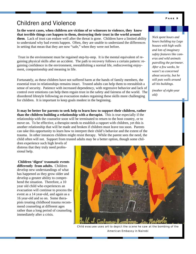### Children and Violence

**In the worst cases, when children are victims of or witnesses to violence, they know that terrible things** *can* **happen to them, destroying their trust in the world around them**. Lack of trust can endure well after the threat is gone. Children have a limited ability to understand why bad events happen. Often, they are unable to understand the differences in setting that mean that they are now "safe," when they were not before.

 Trust in the environment must be regained step-by-step. It is the mental equivalent of regaining physical skills after an accident. The path to recovery follows a certain pattern: regaining confidence in the environment, reestablishing a normal life, rediscovering enjoyment, companionship and meaning in life.

Fortunately, as these children have not suffered harm at the hands of family members, the essential trust in relationships remains intact. Trusted adults can help them to reestablish a sense of security. Patience with increased dependency, with regressive behavior and lack of control over emotions can help them regain trust in the safety and fairness of the world. The disordered lifestyle following an evacuation makes regaining these skills more challenging for children. It is important to keep goals modest in the beginning.

**It may be better for parents to seek help to learn how to support their children, rather than the children building a relationship with a therapist.** This is true especially if the relationship with the counselor soon will be terminated to return to the host country, or to move on. To be effective, a therapist needs to establish a rapport with children, yet this is another relationship that will be made and broken if children must leave too soon. Parents can take this opportunity to learn how to interpret their child's behavior and the extent of the trauma. In other instances children might resist therapy. While the parent sees the need, the child often will not. Support from trusted adults may be a better option, though some chil-

dren experience such high levels of distress that they truly need professional help.

**Children 'digest' traumatic events differently from adults.** Children develop new understandings of what has happened as they grow older and develop a greater ability to comprehend the situation. Therefore, a 10 year old child who experiences an evacuation will continue to process the event as a 14 year-old, and again as a 16 year-old and so on. Some therapists treating childhood trauma recommend counseling at different ages rather than a long period of counseling immediately after a crisis.

Child evacuee uses art to depict the scene he saw at the bombing of the American Embassy in Nairobi

*Nick spent hours and hours building toy Lego houses with high walls and lots of imaginary safety features like cameras and wild animals patrolling the perimeter. After a few weeks, he wasn't so concerned about security, but he still puts walls around all his buildings.* 

*(mother of eight-year old)*



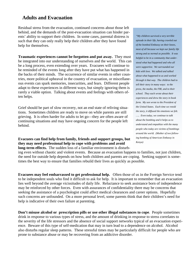### **Adults and Evacuation**

Residual stress from the evacuation, continued concerns about those left behind, and the demands of the post-evacuation situation can hinder parents' ability to support their children. In some cases, parental distress is such that they can only really help their children after they have found help for themselves.

**Traumatic experiences cannot be forgotten and put away.** They must be integrated into our understanding of ourselves and the world. This can be a long process, even extending over years. Evacuees will continue to be reminded of the events long after they have put what has happened in the backs of their minds. The occurrence of similar events in other countries, more political upheaval in the country of evacuation, or miscellaneous events can spark memories, insecurities, and fears. Different people adapt to these experiences in different ways, but simply ignoring them is rarely a viable option. Talking about events and feelings with others often helps.

Grief should be part of slow recovery, not an end state of reliving situations. Sometimes children are ready to move on while parents are still grieving. It is often harder for adults to let go—they are often aware of continuing situations and may have ongoing concern for the people left behind.

#### **Evacuees can find help from family, friends and support groups, but they may need professional help to cope with problems and avoid long-term effects.** The sudden loss of a familiar environment is disturb-

*"My children survived a very terrible episode in their life, having crawled out of the bombed Embassy on their knees, most of all because we kept our family life strong and as normal as possible. It was helpful to be in a community that understood what had happened and who all were supportive. We surrounded our kids with love. We talked and talked about what happened to us and worked through it that way. The children had to tell their story in many ways: to the press, the media, the FBI, and to their school. They each wrote about their experiences and drew the story in book form. My son wrote to the President of the United States. Each time we retold the story, it diffused the emotions we felt. ….. Even today, we continue to talk about the bombing and it helps us to understand and empathize with the many people who today are victims of bombings around the world. (Mother of two following bombing of American Embassy in Kenya)* 

ing even without chaotic and violent events. Because an evacuation happens to families, not just children, the need for outside help depends on how both children and parents are coping. Seeking support is sometimes the best way to ensure that families rebuild their lives as quickly as possible.

**Evacuees may feel embarrassed to get professional help.** Often those of us in the Foreign Service tend to be independent souls who find it difficult to ask for help. It is important to remember that an evacuation lies well beyond the average vicissitudes of daily life. Reluctance to seek assistance born of independence may be reinforced by other forces. Even with assurances of confidentiality there may be concerns that seeking the assistance of a psychologist could affect medical clearances and career options. Hopefully such concerns are unfounded. On a more personal level, some parents think that their children's need for help is indicative of their own failure at parenting.

**Don't misuse alcohol or prescription pills or use other illegal substances to cope**. People sometimes drink in response to various types of stress, and the amount of drinking in response to stress correlates to the severity of the life stressors and the absence of social support networks typical of an evacuation experience. Beware of this type of self-medication that may in turn lead to a dependence on alcohol. Alcohol also disturbs regular sleep patterns. These stressful times may be particularly difficult for people who are prone to substance abuse or may be recovering from an addictive disorder.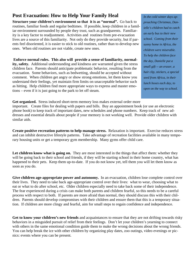### **Post Evacuation: How to Help Your Family Heal**

**Structure your children's environment so that it is as "normal".** Go back to routines, familiar foods and regular bedtimes. If possible, keep children in a familiar environment surrounded by people they trust, such as grandparents. Familiarity is a key factor to readjustment. Activities and routines from pre-evacuation lives are a source of this familiarity. Not only do they provide security, but if parents feel disoriented, it is easier to stick to old routines, rather than to develop new ones. When old routines are not viable, create new ones.

**Enforce normal rules. This also will provide a sense of familiarity, normality, safety.** Additional understanding and kindness are warranted given the stress children face. Parents should anticipate problematic behavior, resulting from the evacuation. Some behaviors, such as bedwetting, should be accepted without comment. When children get angry or show strong emotions, let them know you understand their feelings, yet maintain firm limits on unacceptable behavior such as hitting. Help children find more appropriate ways to express and master emotions – even if it is just going to the park to let off steam.

*In the cold winter days approaching Christmas, Danielle's children had to catch an early bus to their new school. Coming from their sunny home in Africa, the children were miserable. To help the children face the day, Danielle put a small gift -- an eraser, a hair clip, stickers, a special seed from Africa, in their lunch boxes each day, to open on the way to school.* 

**Get organized.** Stress induced short-term memory loss makes external order more important. Create files for dealing with papers and bills. Buy an appointment book (or use an electronic phone book) to keep track of important dates, new schedules and phone numbers. Keep track of new addresses and essential details about people if your memory is not working well. Provide older children with similar aids.

**Create positive recreation patterns to help manage stress.** Relaxation is important. Exercise reduces stress and can inhibit destructive lifestyle patterns. Take advantage of recreation facilities available in many temporary housing units or get a temporary gym membership. Many gyms offer child care.

Let children know what is going on. They are most interested in the things that affect them: whether they will be going back to their school and friends, if they will be starting school in their home country, what has happened to their pets. Keep them up-to-date. If you do not know yet, tell them you will let them know as soon as you do.

**Give children age-appropriate power and autonomy.** In an evacuation, children lose complete control over their lives. They need to take back age-appropriate control over their lives: what to wear, choosing what to eat or what to do after school, etc. Older children especially need to take back some of their independence. The fear experienced during a crisis can make both parents and children fearful, so this needs to be a careful process with respect to both. If parents are more afraid than normal, they should discuss this with their children. Parents should develop compromises with their children and ensure them that this is a temporary situation. If children are more clingy and fearful, aim for small steps to regain confidence and independence.

**Get to know your children's new friends** and acquaintances to ensure that they are not drifting towards risky behaviors in a misguided pursuit of relief from their feelings. Don't let your children's yearning to connect with others in the same emotional condition guide them to make the wrong decisions about the wrong friends. You can help break the ice with other children by organizing play dates, zoo outings, video evenings or picnics: events where you can be present.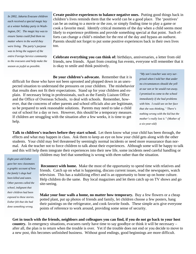*In 2002, Jakarta Evacuee children each received a special magic key at a winter holiday party in Washington, DC. The magic key was to ensure Santa could find them no matter where in the world they were living. The party's purpose was to bring the support of the entire Foreign Service community to the evacuees and help make the season as joyful as possible.* 

**Create positive experiences to balance negative ones.** Putting good things back in children's lives reminds them that the world can be a good place. The 'positives' can be an outing to a movie or the zoo, or simply finding time to play a game or cook a favorite meal. Identify critical moments of the day when a child seems most likely to experience problems and provide something special at that point. Such efforts can change a child's mindset for the rest of the day and bypass an outburst. Parents should not forget to put some positive experiences back in their own lives too.

**Celebrate everything you can think of:** birthdays, anniversaries, a letter from old friends, new friends. Apart from creating fun events, everyone will remember that it is okay to smile and think positively.

**Be your children's advocate.** Remember that it is difficult for those who have not been uprooted and plopped down in an unexpected situation to understand the pressures on your children. The misbehavior that results does not fit their expectations. Stand up for your children and explain. If necessary bring in professionals, such as the Family Liaison Office and the Office of Overseas Schools, to deal with schools. Remember, however, that the concerns of other parents and school officials also are legitimate, so be prepared to seek reasonable solutions. Parents may need to take a child out of school for a day or two. However, this should be a temporary measure. If children are struggling with the situation after a few weeks, it is time to get help.

*"My son's teacher was very surprised when I told her that under no circumstances should she yell at our son or he would run away. I promised to come to the school immediately if she had problems with him. I could see on her face that she was thinking,' 'There's nothing wrong with the kid but the mother's really lost it." (Mother of a six-year-old)* 

**Talk to children's teachers before they start school.** Let them know what your child has been through, the effects and what may happen in class. Ask them to keep an eye on how your child gets along with the other students. Your child may feel threatened by seemingly normal incidents or need more reassurance than normal. Ask the teacher not to force children to talk about their experiences. Although some will be happy to talk and this will help them integrate their experiences into their new life, some incidents need careful handling or

*Eight-year-old Esther gave her new classmates a graphic account of how the family's dogs had been killed and eaten. Other parents called the school, indignant that their children had been exposed to these stories. Esther felt that she had done something wrong.* 

children may feel that something is wrong with *them* rather than the situation.

**Reconnect with home.** Make the most of the opportunity to spend time with relatives and friends. Catch up on what is happening, discuss current issues, read the newspapers, watch television. This has a stabilizing effect and is an opportunity to bone up on home culture. Help children do the same. Buy local magazines and let them catch up on TV shows and go site-seeing.

**Make your four walls a home, no matter how temporary.** Buy a few flowers or a cheap potted plant, put up photos of friends and family, let children choose a few posters, hang their paintings on the refrigerator, and cook favorite foods. These simple acts give everyone points of reference to work around, providing some sense of security.

**Get in touch with the friends, neighbors and colleagues you can find, if you do not go back to your host country.** In emergency situations, evacuees rarely have time to say goodbye or think it will be necessary – after all, the plan is to return when the trouble is over. Yet if the trouble does not end or you decide to move to a new post, this becomes unfinished business. Without good endings, good beginnings are more difficult.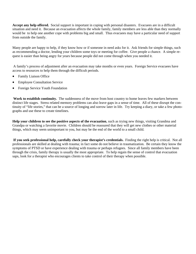**Accept any help offered.** Social support is important in coping with personal disasters. Evacuees are in a difficult situation and need it. Because an evacuation affects the whole family, family members are less able than they normally would be to help one another cope with problems big and small. Thus evacuees may have a particular need of support from outside the family.

Many people are happy to help, if they know how or if someone in need asks for it. Ask friends for simple things, such as recommending a doctor, lending your children some toys or meeting for coffee. Give people a chance. A simple request is easier than being angry for years because people did not come through when you needed it.

 A family's process of adjustment after an evacuation may take months or even years. Foreign Service evacuees have access to resources to help them through the difficult periods.

- **Family Liaison Office**
- **Employee Consultation Service**
- Foreign Service Youth Foundation

**Work to establish continuity.** The suddenness of the move from host country to home leaves few markers between distinct life stages. Stress related memory problems can also leave gaps in a sense of time. All of these disrupt the continuity of "life stories," that can be a source of longing and sorrow later in life. Try keeping a diary, or take a few photographs and use these to create timelines.

**Help your children to see the positive aspects of the evacuation**, such as trying new things, visiting Grandma and Grandpa or watching a favorite movie. Children should be reassured that they will get new clothes or other material things, which may seem unimportant to you, but may be the end of the world to a small child.

**If you seek professional help, carefully check your therapist's credentials.** Finding the right help is critical. Not all professionals are skilled at dealing with trauma; in fact some do not believe in traumatization. Be certain they know the symptoms of PTSD or have experience dealing with trauma or perhaps refugees. Since all family members have been through the crisis, family therapy is usually the most appropriate. To help regain the sense of control that evacuation saps, look for a therapist who encourages clients to take control of their therapy when possible.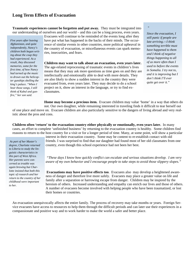### **Long Term Effects of Evacuation**

**Traumatic experiences cannot be forgotten and put away.** They must be integrated into our understanding of ourselves and our world – and this can be a long process, even years.

*Five years after leaving Afghanistan, and quite independently, Nancy's children both began writing about the coup they had experienced. As a result, they discussed memories, some for the first time, of how Nancy had turned up the music to drown out the helicopter gunships shelling the king's palace. "When I hear those songs, I still think of Kabul and gunfire," her son said.* 

Evacuees will continue to be reminded of the events long after they have put what has happened in the backs of their minds. The occurrence of similar events in other countries, more political upheaval in the country of evacuation, or miscellaneous events can spark memories, insecurities, and fears.

**Children may want to talk about an evacuation, even years later.**  The age-related reprocessing of traumatic events in children's lives means that they may ask more questions as time goes on and they are intellectually and emotionally able to deal with more details. They are also likely to show a sudden interest in the country they were evacuated from, even years later. They may decide to do a school project on it, show an interest in the language, or try to find exclassmates.

*Since the evacuation, I still panic if people are late arriving.—I think something terrible must have happened to them and I think of negative things happening to all of us more often than I used to before the events in Somalia. I try not to, and it is improving but I don't think I'll ever quite get over it."* 

*"* 

**Home may become a precious item.** Evacuee children may value 'home' in a way that others do not. Our own daughter, while remaining interested in traveling finds it difficult to tear herself out

of one place and move on. Evacuee children are also particularly sensitive to the dangers of living abroad and very realistic about the pros and cons.

**Children often 'return' to the evacuation country either physically or emotionally, even years later.** In many cases, an effort to complete 'unfinished business' by returning to the evacuation country is healthy. Some children find reasons to return to the host country for a visit or for a longer period of time. Many, at some point, will show a particular

*As part of her Master's degree, Charlotte returned to Liberia to study the linguistic characteristics in this part of West Africa. Her parents were concerned as trouble was again brewing but Charlotte insisted that both this topic of research and her return to the country of her childhood were important to her.* 

interest in their evacuation country. Some may be content to re-establish contact with old friends. I was surprised to find that our daughter had found most of her old classmates from one country, even though this school experience had not been her best.

*"These days I know how quickly conflict can escalate and serious situations develop. I am very aware of my own behavior and I encourage people to take steps to avoid those slippery slopes."* 

**Evacuations may have positive effects too**. Evacuees also may develop a heightened awareness of danger and therefore live more safely. Evacuees may place a greater value on life and family after a separation or harrowing escape from danger. Children may be inspired by the heroism of others. Increased understanding and empathy can enrich our lives and those of others. A number of evacuees become involved with helping people who have been traumatized, or lost their homes or countries.

An evacuation unequivocally affects the entire family. The process of recovery may take months or years. Foreign Service evacuees have access to resources to help them through the difficult periods and can later use their experiences in a compassionate and positive way and to work harder to make the world a safer and better place.